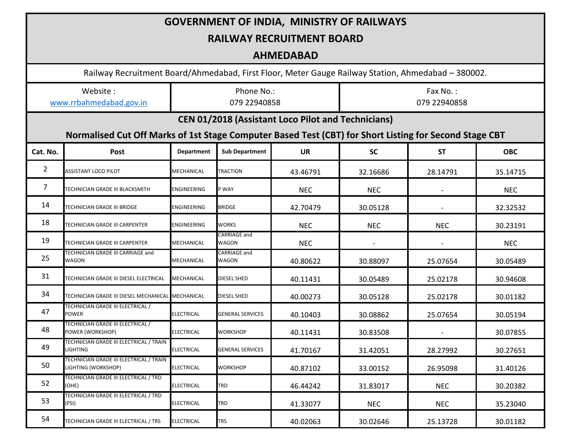| <b>GOVERNMENT OF INDIA, MINISTRY OF RAILWAYS</b>          |                                                                                                        |                            |                         |            |                          |            |            |  |  |
|-----------------------------------------------------------|--------------------------------------------------------------------------------------------------------|----------------------------|-------------------------|------------|--------------------------|------------|------------|--|--|
| <b>RAILWAY RECRUITMENT BOARD</b>                          |                                                                                                        |                            |                         |            |                          |            |            |  |  |
| <b>AHMEDABAD</b>                                          |                                                                                                        |                            |                         |            |                          |            |            |  |  |
|                                                           | Railway Recruitment Board/Ahmedabad, First Floor, Meter Gauge Railway Station, Ahmedabad - 380002.     |                            |                         |            |                          |            |            |  |  |
| Website:<br>www.rrbahmedabad.gov.in                       |                                                                                                        | Phone No.:<br>079 22940858 |                         |            | Fax No.:<br>079 22940858 |            |            |  |  |
| <b>CEN 01/2018 (Assistant Loco Pilot and Technicians)</b> |                                                                                                        |                            |                         |            |                          |            |            |  |  |
|                                                           | Normalised Cut Off Marks of 1st Stage Computer Based Test (CBT) for Short Listing for Second Stage CBT |                            |                         |            |                          |            |            |  |  |
| Cat. No.                                                  | Post                                                                                                   | <b>Department</b>          | <b>Sub Department</b>   | <b>UR</b>  | <b>SC</b>                | <b>ST</b>  | <b>OBC</b> |  |  |
| $\overline{2}$                                            | ASSISTANT LOCO PILOT                                                                                   | MECHANICAL                 | TRACTION                | 43.46791   | 32.16686                 | 28.14791   | 35.14715   |  |  |
| $\overline{7}$                                            | TECHNICIAN GRADE III BLACKSMITH                                                                        | ENGINEERING                | P WAY                   | <b>NEC</b> | <b>NEC</b>               |            | <b>NEC</b> |  |  |
| 14                                                        | TECHNICIAN GRADE III BRIDGE                                                                            | ENGINEERING                | <b>BRIDGE</b>           | 42.70479   | 30.05128                 |            | 32.32532   |  |  |
| 18                                                        | TECHNICIAN GRADE III CARPENTER                                                                         | ENGINEERING                | WORKS                   | <b>NEC</b> | <b>NEC</b>               | <b>NEC</b> | 30.23191   |  |  |
| 19                                                        | TECHNICIAN GRADE III CARPENTER                                                                         | MECHANICAL                 | CARRIAGE and<br>WAGON   | <b>NEC</b> |                          |            | <b>NEC</b> |  |  |
| 25                                                        | TECHNICIAN GRADE III CARRIAGE and<br>WAGON                                                             | MECHANICAL                 | CARRIAGE and<br>WAGON   | 40.80622   | 30.88097                 | 25.07654   | 30.05489   |  |  |
| 31                                                        | TECHNICIAN GRADE III DIESEL ELECTRICAL                                                                 | MECHANICAL                 | <b>DIESEL SHED</b>      | 40.11431   | 30.05489                 | 25.02178   | 30.94608   |  |  |
| 34                                                        | TECHNICIAN GRADE III DIESEL MECHANICAL                                                                 | MECHANICAL                 | DIESEL SHED             | 40.00273   | 30.05128                 | 25.02178   | 30.01182   |  |  |
| 47                                                        | TECHNICIAN GRADE III ELECTRICAL /<br>POWER                                                             | <b>ELECTRICAL</b>          | <b>GENERAL SERVICES</b> | 40.10403   | 30.08862                 | 25.07654   | 30.05194   |  |  |
| 48                                                        | TECHNICIAN GRADE III ELECTRICAL /<br>POWER (WORKSHOP)                                                  | <b>ELECTRICAL</b>          | <b>WORKSHOP</b>         | 40.11431   | 30.83508                 |            | 30.07855   |  |  |
| 49                                                        | TECHNICIAN GRADE III ELECTRICAL / TRAIN<br>LIGHTING                                                    | <b>ELECTRICAL</b>          | <b>GENERAL SERVICES</b> | 41.70167   | 31.42051                 | 28.27992   | 30.27651   |  |  |
| 50                                                        | TECHNICIAN GRADE III ELECTRICAL / TRAIN<br>LIGHTING (WORKSHOP)                                         | <b>ELECTRICAL</b>          | WORKSHOP                | 40.87102   | 33.00152                 | 26.95098   | 31.40126   |  |  |
| 52                                                        | TECHNICIAN GRADE III ELECTRICAL / TRD<br>(OHE)                                                         | <b>ELECTRICAL</b>          | TRD                     | 46.44242   | 31.83017                 | <b>NEC</b> | 30.20382   |  |  |
| 53                                                        | TECHNICIAN GRADE III ELECTRICAL / TRD<br>(PSI)                                                         | <b>ELECTRICAL</b>          | TRD                     | 41.33077   | <b>NEC</b>               | <b>NEC</b> | 35.23040   |  |  |
| 54                                                        | TECHNICIAN GRADE III ELECTRICAL / TRS                                                                  | <b>ELECTRICAL</b>          | <b>TRS</b>              | 40.02063   | 30.02646                 | 25.13728   | 30.01182   |  |  |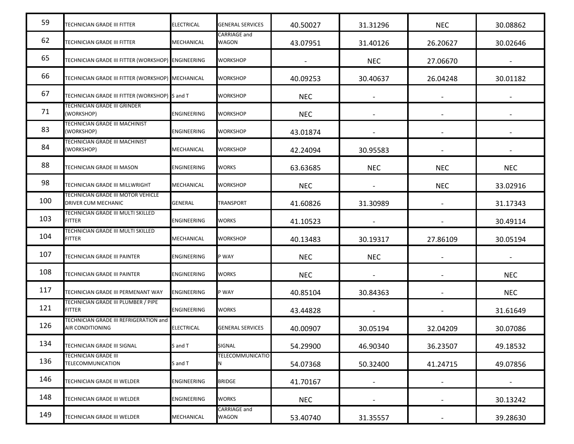| 59  | TECHNICIAN GRADE III FITTER                                | <b>ELECTRICAL</b>  | <b>GENERAL SERVICES</b>      | 40.50027   | 31.31296   | <b>NEC</b>               | 30.08862   |
|-----|------------------------------------------------------------|--------------------|------------------------------|------------|------------|--------------------------|------------|
| 62  | TECHNICIAN GRADE III FITTER                                | <b>MECHANICAL</b>  | CARRIAGE and<br>WAGON        | 43.07951   | 31.40126   | 26.20627                 | 30.02646   |
| 65  | TECHNICIAN GRADE III FITTER (WORKSHOP) ENGINEERING         |                    | <b>WORKSHOP</b>              |            | <b>NEC</b> | 27.06670                 |            |
| 66  | TECHNICIAN GRADE III FITTER (WORKSHOP) MECHANICAL          |                    | WORKSHOP                     | 40.09253   | 30.40637   | 26.04248                 | 30.01182   |
| 67  | TECHNICIAN GRADE III FITTER (WORKSHOP) S and T             |                    | <b>WORKSHOP</b>              | <b>NEC</b> |            |                          |            |
| 71  | TECHNICIAN GRADE III GRINDER<br>(WORKSHOP)                 | <b>ENGINEERING</b> | WORKSHOP                     | <b>NEC</b> |            |                          |            |
| 83  | TECHNICIAN GRADE III MACHINIST<br>(WORKSHOP)               | <b>ENGINEERING</b> | WORKSHOP                     | 43.01874   |            |                          |            |
| 84  | TECHNICIAN GRADE III MACHINIST<br>(WORKSHOP)               | MECHANICAL         | <b>WORKSHOP</b>              | 42.24094   | 30.95583   |                          |            |
| 88  | TECHNICIAN GRADE III MASON                                 | <b>ENGINEERING</b> | WORKS                        | 63.63685   | <b>NEC</b> | <b>NEC</b>               | <b>NEC</b> |
| 98  | TECHNICIAN GRADE III MILLWRIGHT                            | MECHANICAL         | <b>WORKSHOP</b>              | <b>NEC</b> |            | <b>NEC</b>               | 33.02916   |
| 100 | TECHNICIAN GRADE III MOTOR VEHICLE<br>DRIVER CUM MECHANIC  | <b>GENERAL</b>     | TRANSPORT                    | 41.60826   | 31.30989   |                          | 31.17343   |
| 103 | TECHNICIAN GRADE III MULTI SKILLED<br><b>FITTER</b>        | <b>ENGINEERING</b> | WORKS                        | 41.10523   |            |                          | 30.49114   |
| 104 | TECHNICIAN GRADE III MULTI SKILLED<br><b>FITTER</b>        | MECHANICAL         | <b>WORKSHOP</b>              | 40.13483   | 30.19317   | 27.86109                 | 30.05194   |
| 107 | TECHNICIAN GRADE III PAINTER                               | <b>ENGINEERING</b> | P WAY                        | <b>NEC</b> | <b>NEC</b> |                          |            |
| 108 | TECHNICIAN GRADE III PAINTER                               | <b>ENGINEERING</b> | <b>WORKS</b>                 | <b>NEC</b> |            |                          | <b>NEC</b> |
| 117 | TECHNICIAN GRADE III PERMENANT WAY                         | <b>ENGINEERING</b> | P WAY                        | 40.85104   | 30.84363   |                          | <b>NEC</b> |
| 121 | TECHNICIAN GRADE III PLUMBER / PIPE<br><b>FITTER</b>       | <b>ENGINEERING</b> | WORKS                        | 43.44828   |            |                          | 31.61649   |
| 126 | TECHNICIAN GRADE III REFRIGERATION and<br>AIR CONDITIONING | <b>ELECTRICAL</b>  | GENERAL SERVICES             | 40.00907   | 30.05194   | 32.04209                 | 30.07086   |
| 134 | TECHNICIAN GRADE III SIGNAL                                | S and T            | SIGNAL                       | 54.29900   | 46.90340   | 36.23507                 | 49.18532   |
| 136 | <b>TECHNICIAN GRADE III</b><br>TELECOMMUNICATION           | S and T            | TELECOMMUNICATIO<br>Ν        | 54.07368   | 50.32400   | 41.24715                 | 49.07856   |
| 146 | TECHNICIAN GRADE III WELDER                                | <b>ENGINEERING</b> | <b>BRIDGE</b>                | 41.70167   |            |                          |            |
| 148 | TECHNICIAN GRADE III WELDER                                | <b>ENGINEERING</b> | <b>WORKS</b>                 | <b>NEC</b> |            | $\overline{\phantom{a}}$ | 30.13242   |
| 149 | TECHNICIAN GRADE III WELDER                                | MECHANICAL         | <b>CARRIAGE and</b><br>WAGON | 53.40740   | 31.35557   |                          | 39.28630   |